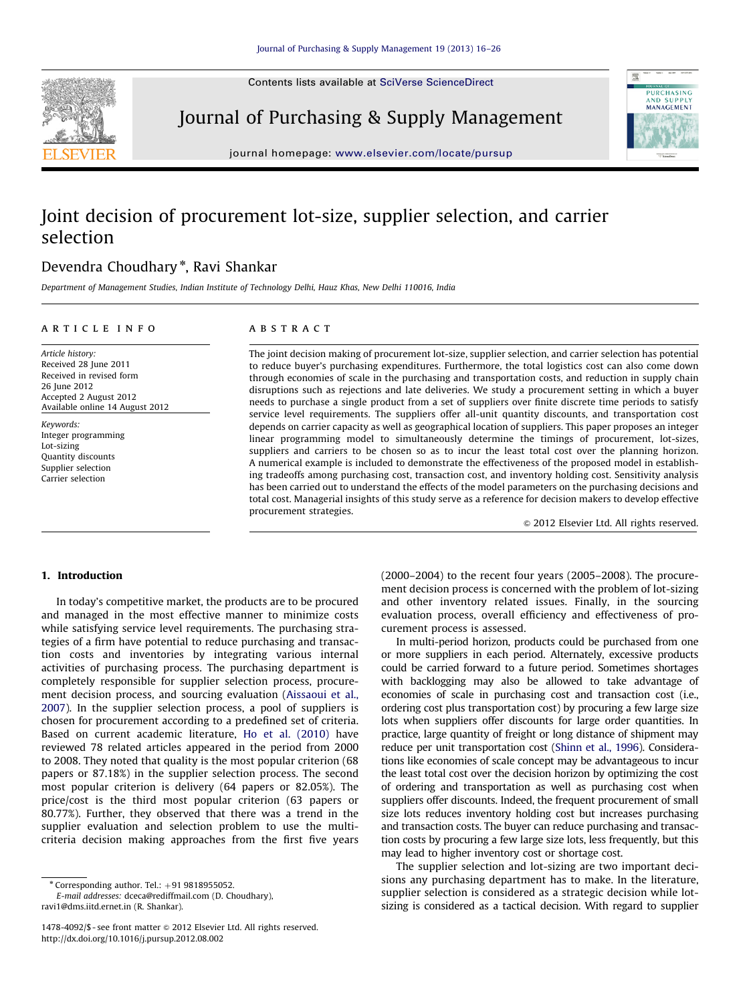Contents lists available at [SciVerse ScienceDirect](www.elsevier.com/locate/pursup)



Journal of Purchasing & Supply Management



journal homepage: <www.elsevier.com/locate/pursup>

## Joint decision of procurement lot-size, supplier selection, and carrier selection

## Devendra Choudhary<sup>\*</sup>, Ravi Shankar

Department of Management Studies, Indian Institute of Technology Delhi, Hauz Khas, New Delhi 110016, India

#### article info

### **ABSTRACT**

Article history: Received 28 June 2011 Received in revised form 26 June 2012 Accepted 2 August 2012 Available online 14 August 2012

Keywords: Integer programming Lot-sizing Quantity discounts Supplier selection Carrier selection

The joint decision making of procurement lot-size, supplier selection, and carrier selection has potential to reduce buyer's purchasing expenditures. Furthermore, the total logistics cost can also come down through economies of scale in the purchasing and transportation costs, and reduction in supply chain disruptions such as rejections and late deliveries. We study a procurement setting in which a buyer needs to purchase a single product from a set of suppliers over finite discrete time periods to satisfy service level requirements. The suppliers offer all-unit quantity discounts, and transportation cost depends on carrier capacity as well as geographical location of suppliers. This paper proposes an integer linear programming model to simultaneously determine the timings of procurement, lot-sizes, suppliers and carriers to be chosen so as to incur the least total cost over the planning horizon. A numerical example is included to demonstrate the effectiveness of the proposed model in establishing tradeoffs among purchasing cost, transaction cost, and inventory holding cost. Sensitivity analysis has been carried out to understand the effects of the model parameters on the purchasing decisions and total cost. Managerial insights of this study serve as a reference for decision makers to develop effective procurement strategies.

 $©$  2012 Elsevier Ltd. All rights reserved.

### 1. Introduction

In today's competitive market, the products are to be procured and managed in the most effective manner to minimize costs while satisfying service level requirements. The purchasing strategies of a firm have potential to reduce purchasing and transaction costs and inventories by integrating various internal activities of purchasing process. The purchasing department is completely responsible for supplier selection process, procurement decision process, and sourcing evaluation ([Aissaoui et al.,](#page--1-0) [2007\)](#page--1-0). In the supplier selection process, a pool of suppliers is chosen for procurement according to a predefined set of criteria. Based on current academic literature, [Ho et al. \(2010\)](#page--1-0) have reviewed 78 related articles appeared in the period from 2000 to 2008. They noted that quality is the most popular criterion (68 papers or 87.18%) in the supplier selection process. The second most popular criterion is delivery (64 papers or 82.05%). The price/cost is the third most popular criterion (63 papers or 80.77%). Further, they observed that there was a trend in the supplier evaluation and selection problem to use the multicriteria decision making approaches from the first five years

E-mail addresses: [dceca@rediffmail.com \(D. Choudhary\),](mailto:dceca@rediffmail.com) [ravi1@dms.iitd.ernet.in \(R. Shankar\).](mailto:ravi1@dms.iitd.ernet.in)

(2000–2004) to the recent four years (2005–2008). The procurement decision process is concerned with the problem of lot-sizing and other inventory related issues. Finally, in the sourcing evaluation process, overall efficiency and effectiveness of procurement process is assessed.

In multi-period horizon, products could be purchased from one or more suppliers in each period. Alternately, excessive products could be carried forward to a future period. Sometimes shortages with backlogging may also be allowed to take advantage of economies of scale in purchasing cost and transaction cost (i.e., ordering cost plus transportation cost) by procuring a few large size lots when suppliers offer discounts for large order quantities. In practice, large quantity of freight or long distance of shipment may reduce per unit transportation cost [\(Shinn et al., 1996](#page--1-0)). Considerations like economies of scale concept may be advantageous to incur the least total cost over the decision horizon by optimizing the cost of ordering and transportation as well as purchasing cost when suppliers offer discounts. Indeed, the frequent procurement of small size lots reduces inventory holding cost but increases purchasing and transaction costs. The buyer can reduce purchasing and transaction costs by procuring a few large size lots, less frequently, but this may lead to higher inventory cost or shortage cost.

The supplier selection and lot-sizing are two important decisions any purchasing department has to make. In the literature, supplier selection is considered as a strategic decision while lotsizing is considered as a tactical decision. With regard to supplier

 $*$  Corresponding author. Tel.:  $+91$  9818955052.

<sup>1478-4092/\$ -</sup> see front matter @ 2012 Elsevier Ltd. All rights reserved. [http://dx.doi.org/10.1016/j.pursup.2012.08.002](dx.doi.org/10.1016/j.pursup.2012.08.002)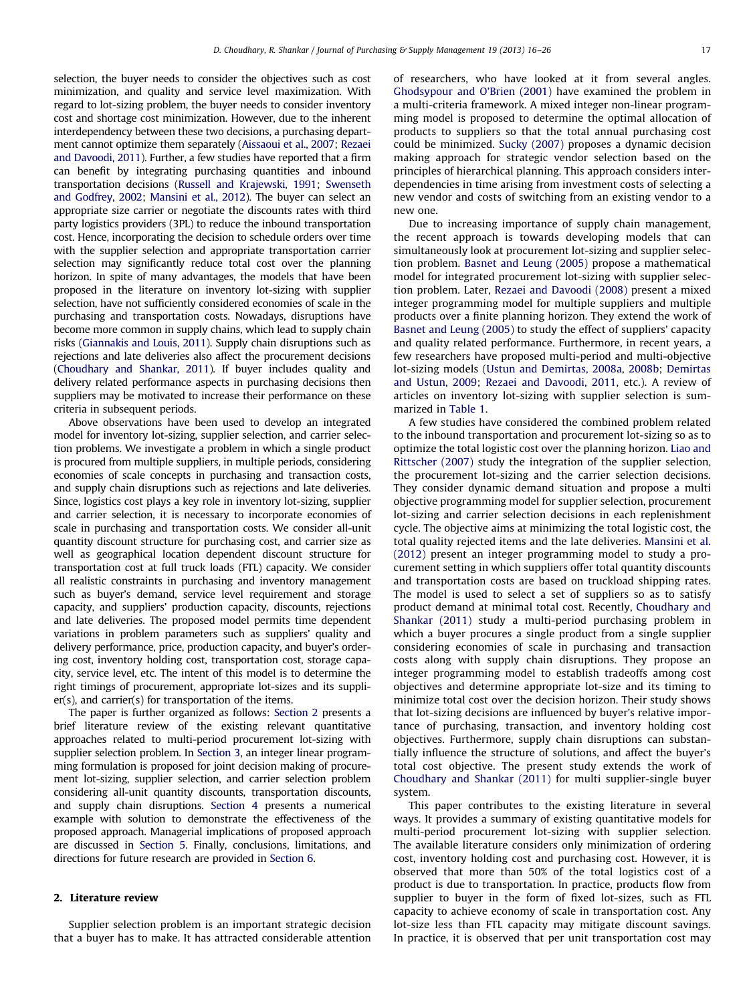selection, the buyer needs to consider the objectives such as cost minimization, and quality and service level maximization. With regard to lot-sizing problem, the buyer needs to consider inventory cost and shortage cost minimization. However, due to the inherent interdependency between these two decisions, a purchasing department cannot optimize them separately [\(Aissaoui et al., 2007;](#page--1-0) [Rezaei](#page--1-0) [and Davoodi, 2011](#page--1-0)). Further, a few studies have reported that a firm can benefit by integrating purchasing quantities and inbound transportation decisions [\(Russell and Krajewski, 1991;](#page--1-0) [Swenseth](#page--1-0) [and Godfrey, 2002;](#page--1-0) [Mansini et al., 2012](#page--1-0)). The buyer can select an appropriate size carrier or negotiate the discounts rates with third party logistics providers (3PL) to reduce the inbound transportation cost. Hence, incorporating the decision to schedule orders over time with the supplier selection and appropriate transportation carrier selection may significantly reduce total cost over the planning horizon. In spite of many advantages, the models that have been proposed in the literature on inventory lot-sizing with supplier selection, have not sufficiently considered economies of scale in the purchasing and transportation costs. Nowadays, disruptions have become more common in supply chains, which lead to supply chain risks [\(Giannakis and Louis, 2011](#page--1-0)). Supply chain disruptions such as rejections and late deliveries also affect the procurement decisions [\(Choudhary and Shankar, 2011\)](#page--1-0). If buyer includes quality and delivery related performance aspects in purchasing decisions then suppliers may be motivated to increase their performance on these criteria in subsequent periods.

Above observations have been used to develop an integrated model for inventory lot-sizing, supplier selection, and carrier selection problems. We investigate a problem in which a single product is procured from multiple suppliers, in multiple periods, considering economies of scale concepts in purchasing and transaction costs, and supply chain disruptions such as rejections and late deliveries. Since, logistics cost plays a key role in inventory lot-sizing, supplier and carrier selection, it is necessary to incorporate economies of scale in purchasing and transportation costs. We consider all-unit quantity discount structure for purchasing cost, and carrier size as well as geographical location dependent discount structure for transportation cost at full truck loads (FTL) capacity. We consider all realistic constraints in purchasing and inventory management such as buyer's demand, service level requirement and storage capacity, and suppliers' production capacity, discounts, rejections and late deliveries. The proposed model permits time dependent variations in problem parameters such as suppliers' quality and delivery performance, price, production capacity, and buyer's ordering cost, inventory holding cost, transportation cost, storage capacity, service level, etc. The intent of this model is to determine the right timings of procurement, appropriate lot-sizes and its supplier(s), and carrier(s) for transportation of the items.

The paper is further organized as follows: Section 2 presents a brief literature review of the existing relevant quantitative approaches related to multi-period procurement lot-sizing with supplier selection problem. In [Section 3](#page--1-0), an integer linear programming formulation is proposed for joint decision making of procurement lot-sizing, supplier selection, and carrier selection problem considering all-unit quantity discounts, transportation discounts, and supply chain disruptions. [Section 4](#page--1-0) presents a numerical example with solution to demonstrate the effectiveness of the proposed approach. Managerial implications of proposed approach are discussed in [Section 5.](#page--1-0) Finally, conclusions, limitations, and directions for future research are provided in [Section 6.](#page--1-0)

#### 2. Literature review

Supplier selection problem is an important strategic decision that a buyer has to make. It has attracted considerable attention of researchers, who have looked at it from several angles. [Ghodsypour and O'Brien \(2001\)](#page--1-0) have examined the problem in a multi-criteria framework. A mixed integer non-linear programming model is proposed to determine the optimal allocation of products to suppliers so that the total annual purchasing cost could be minimized. [Sucky \(2007\)](#page--1-0) proposes a dynamic decision making approach for strategic vendor selection based on the principles of hierarchical planning. This approach considers interdependencies in time arising from investment costs of selecting a new vendor and costs of switching from an existing vendor to a new one.

Due to increasing importance of supply chain management, the recent approach is towards developing models that can simultaneously look at procurement lot-sizing and supplier selection problem. [Basnet and Leung \(2005\)](#page--1-0) propose a mathematical model for integrated procurement lot-sizing with supplier selection problem. Later, [Rezaei and Davoodi \(2008\)](#page--1-0) present a mixed integer programming model for multiple suppliers and multiple products over a finite planning horizon. They extend the work of [Basnet and Leung \(2005\)](#page--1-0) to study the effect of suppliers' capacity and quality related performance. Furthermore, in recent years, a few researchers have proposed multi-period and multi-objective lot-sizing models ([Ustun and Demirtas, 2008a](#page--1-0), [2008b](#page--1-0); [Demirtas](#page--1-0) [and Ustun, 2009](#page--1-0); [Rezaei and Davoodi, 2011,](#page--1-0) etc.). A review of articles on inventory lot-sizing with supplier selection is summarized in [Table 1](#page--1-0).

A few studies have considered the combined problem related to the inbound transportation and procurement lot-sizing so as to optimize the total logistic cost over the planning horizon. [Liao and](#page--1-0) [Rittscher \(2007\)](#page--1-0) study the integration of the supplier selection, the procurement lot-sizing and the carrier selection decisions. They consider dynamic demand situation and propose a multi objective programming model for supplier selection, procurement lot-sizing and carrier selection decisions in each replenishment cycle. The objective aims at minimizing the total logistic cost, the total quality rejected items and the late deliveries. [Mansini et al.](#page--1-0) [\(2012\)](#page--1-0) present an integer programming model to study a procurement setting in which suppliers offer total quantity discounts and transportation costs are based on truckload shipping rates. The model is used to select a set of suppliers so as to satisfy product demand at minimal total cost. Recently, [Choudhary and](#page--1-0) [Shankar \(2011\)](#page--1-0) study a multi-period purchasing problem in which a buyer procures a single product from a single supplier considering economies of scale in purchasing and transaction costs along with supply chain disruptions. They propose an integer programming model to establish tradeoffs among cost objectives and determine appropriate lot-size and its timing to minimize total cost over the decision horizon. Their study shows that lot-sizing decisions are influenced by buyer's relative importance of purchasing, transaction, and inventory holding cost objectives. Furthermore, supply chain disruptions can substantially influence the structure of solutions, and affect the buyer's total cost objective. The present study extends the work of [Choudhary and Shankar \(2011\)](#page--1-0) for multi supplier-single buyer system.

This paper contributes to the existing literature in several ways. It provides a summary of existing quantitative models for multi-period procurement lot-sizing with supplier selection. The available literature considers only minimization of ordering cost, inventory holding cost and purchasing cost. However, it is observed that more than 50% of the total logistics cost of a product is due to transportation. In practice, products flow from supplier to buyer in the form of fixed lot-sizes, such as FTL capacity to achieve economy of scale in transportation cost. Any lot-size less than FTL capacity may mitigate discount savings. In practice, it is observed that per unit transportation cost may